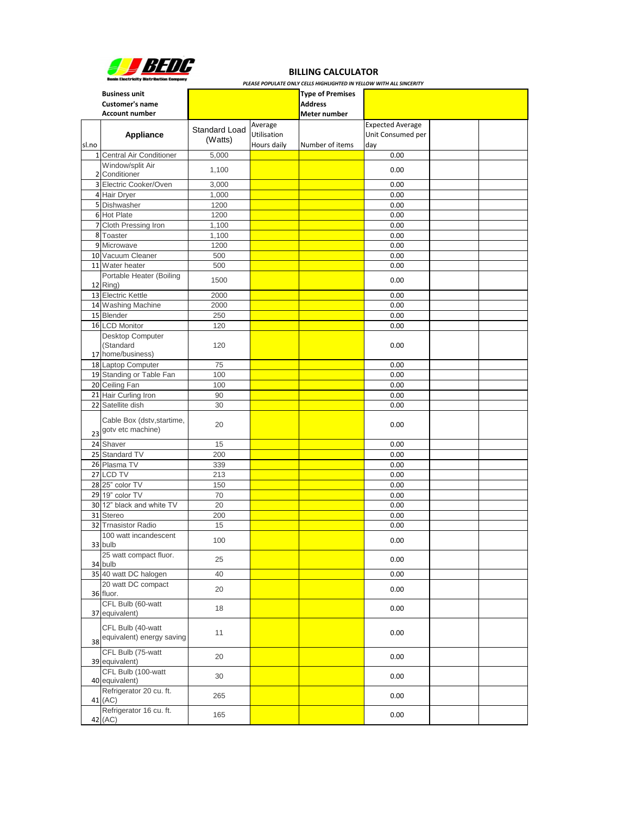| PLEASE POPULATE ONLY CELLS HIGHLIGHTED IN YELLOW WITH ALL SINCERITY |                                                |                      |             |                         |                         |  |  |  |
|---------------------------------------------------------------------|------------------------------------------------|----------------------|-------------|-------------------------|-------------------------|--|--|--|
| <b>Business unit</b>                                                |                                                |                      |             | <b>Type of Premises</b> |                         |  |  |  |
|                                                                     | <b>Customer's name</b>                         |                      |             | <b>Address</b>          |                         |  |  |  |
|                                                                     | <b>Account number</b>                          |                      |             | Meter number            |                         |  |  |  |
|                                                                     |                                                |                      | Average     |                         | <b>Expected Average</b> |  |  |  |
|                                                                     | <b>Appliance</b>                               | <b>Standard Load</b> | Utilisation |                         | Unit Consumed per       |  |  |  |
| sl.no                                                               |                                                | (Watts)              | Hours daily | Number of items         | day                     |  |  |  |
|                                                                     | 1 Central Air Conditioner                      | 5,000                |             |                         | 0.00                    |  |  |  |
|                                                                     | Window/split Air                               |                      |             |                         |                         |  |  |  |
|                                                                     | 2 Conditioner                                  | 1,100                |             |                         | 0.00                    |  |  |  |
|                                                                     | 3 Electric Cooker/Oven                         | 3,000                |             |                         | 0.00                    |  |  |  |
|                                                                     | 4 Hair Dryer                                   | 1,000                |             |                         | 0.00                    |  |  |  |
|                                                                     | 5 Dishwasher                                   | 1200                 |             |                         | 0.00                    |  |  |  |
|                                                                     | 6 Hot Plate                                    | 1200                 |             |                         | 0.00                    |  |  |  |
|                                                                     | 7 Cloth Pressing Iron                          | 1,100                |             |                         | 0.00                    |  |  |  |
|                                                                     | 8 Toaster                                      | 1,100                |             |                         | 0.00                    |  |  |  |
|                                                                     | 9 Microwave                                    | 1200                 |             |                         | 0.00                    |  |  |  |
|                                                                     | 10 Vacuum Cleaner                              | 500                  |             |                         | 0.00                    |  |  |  |
|                                                                     | 11 Water heater                                | 500                  |             |                         | 0.00                    |  |  |  |
|                                                                     | Portable Heater (Boiling                       |                      |             |                         |                         |  |  |  |
|                                                                     | 12 Ring)                                       | 1500                 |             |                         | 0.00                    |  |  |  |
|                                                                     | 13 Electric Kettle                             | 2000                 |             |                         | 0.00                    |  |  |  |
|                                                                     | 14 Washing Machine                             | 2000                 |             |                         | 0.00                    |  |  |  |
|                                                                     | 15 Blender                                     | 250                  |             |                         | 0.00                    |  |  |  |
|                                                                     | 16 LCD Monitor                                 | 120                  |             |                         | 0.00                    |  |  |  |
|                                                                     | Desktop Computer                               |                      |             |                         |                         |  |  |  |
|                                                                     | (Standard                                      | 120                  |             |                         | 0.00                    |  |  |  |
|                                                                     | 17 home/business)                              |                      |             |                         |                         |  |  |  |
|                                                                     | 18 Laptop Computer                             | 75                   |             |                         | 0.00                    |  |  |  |
|                                                                     | 19 Standing or Table Fan                       | 100                  |             |                         | 0.00                    |  |  |  |
|                                                                     | 20 Ceiling Fan                                 | 100                  |             |                         | 0.00                    |  |  |  |
|                                                                     | 21 Hair Curling Iron                           | 90                   |             |                         | 0.00                    |  |  |  |
|                                                                     | 22 Satellite dish                              | 30                   |             |                         | 0.00                    |  |  |  |
|                                                                     | Cable Box (dstv, startime,                     |                      |             |                         |                         |  |  |  |
|                                                                     | 23 gotv etc machine)                           | 20                   |             |                         | 0.00                    |  |  |  |
|                                                                     |                                                |                      |             |                         |                         |  |  |  |
|                                                                     | 24 Shaver                                      | 15                   |             |                         | 0.00                    |  |  |  |
|                                                                     | 25 Standard TV                                 | 200                  |             |                         | 0.00                    |  |  |  |
|                                                                     | 26 Plasma TV                                   | 339                  |             |                         | 0.00                    |  |  |  |
|                                                                     | 27 LCD TV                                      | 213                  |             |                         | 0.00                    |  |  |  |
|                                                                     | 28 25" color TV                                | 150                  |             |                         | 0.00                    |  |  |  |
|                                                                     | 29 19" color TV                                | 70                   |             |                         | 0.00                    |  |  |  |
|                                                                     | 30 12" black and white TV                      | 20                   |             |                         | 0.00                    |  |  |  |
|                                                                     | 31 Stereo                                      | 200                  |             |                         | 0.00                    |  |  |  |
|                                                                     | 32 Trnasistor Radio                            | 15                   |             |                         | 0.00                    |  |  |  |
|                                                                     | 100 watt incandescent<br>33 bulb               | 100                  |             |                         | 0.00                    |  |  |  |
|                                                                     | 25 watt compact fluor.                         |                      |             |                         |                         |  |  |  |
|                                                                     | 34 bulb                                        | 25                   |             |                         | 0.00                    |  |  |  |
|                                                                     | 35 40 watt DC halogen                          | 40                   |             |                         | 0.00                    |  |  |  |
|                                                                     | 20 watt DC compact<br>36 fluor.                | 20                   |             |                         | 0.00                    |  |  |  |
|                                                                     | CFL Bulb (60-watt<br>37 equivalent)            | 18                   |             |                         | 0.00                    |  |  |  |
|                                                                     | CFL Bulb (40-watt<br>equivalent) energy saving | 11                   |             |                         | 0.00                    |  |  |  |

| 38                                   |     |  |      |  |
|--------------------------------------|-----|--|------|--|
| CFL Bulb (75-watt<br>39 equivalent)  | 20  |  | 0.00 |  |
| CFL Bulb (100-watt<br>40 equivalent) | 30  |  | 0.00 |  |
| Refrigerator 20 cu. ft.<br>41 (AC)   | 265 |  | 0.00 |  |
| Refrigerator 16 cu. ft.<br>42 (AC)   | 165 |  | 0.00 |  |



## **BILLING CALCULATOR**